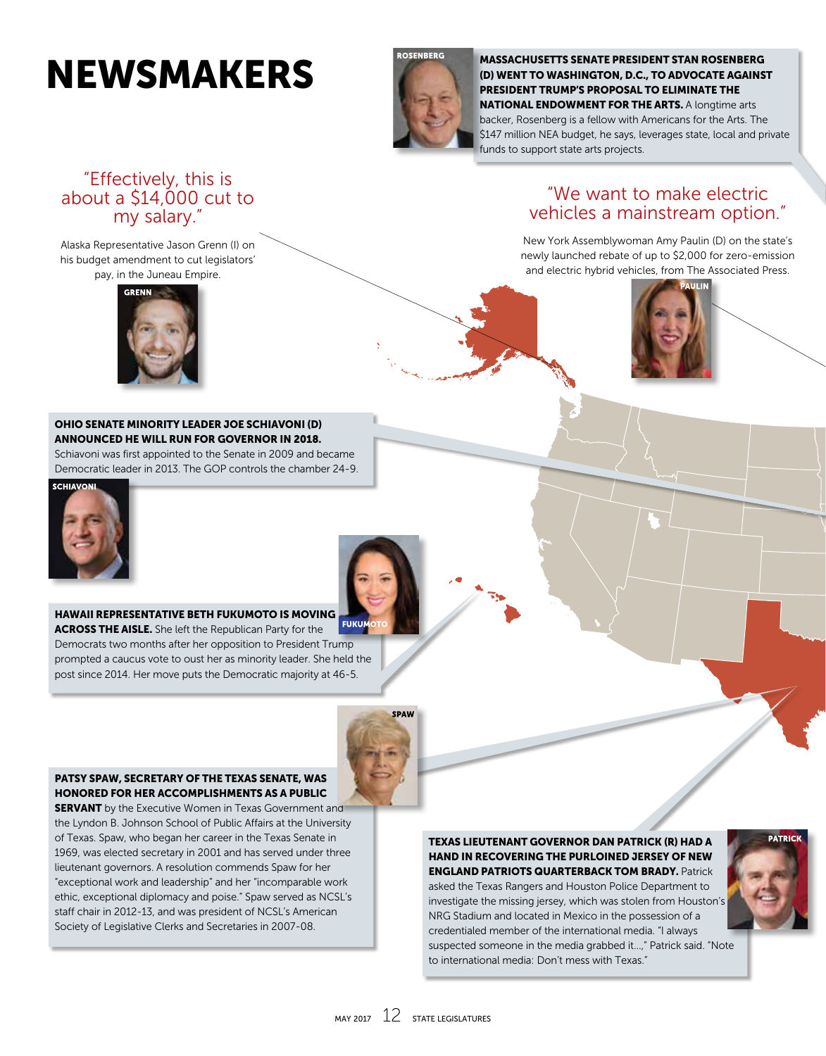# NEWSMAKERS



MASSACHUSETTS SENATE PRESIDENT STAN ROSENBERG (D) WENT TO WASHINGTON, D.C., TO ADVOCATE AGAINST PRESIDENT TRUMP'S PROPOSAL TO ELIMINATE THE NATIONAL ENDOWMENT FOR THE ARTS. A longtime arts backer, Rosenberg is a fellow with Americans for the Arts. The \$147 million NEA budget, he says, leverages state, local and private funds to support state arts projects.

## "Effectively, this is about a \$14,000 cut to my salary."

Alaska Representative Jason Grenn (I) on his budget amendment to cut legislators' pay, in the Juneau Empire.



## "We want to make electric vehicles a mainstream option."

New York Assemblywoman Amy Paulin (D) on the state's newly launched rebate of up to \$2,000 for zero-emission and electric hybrid vehicles, from The Associated Press.



#### OHIO SENATE MINORITY LEADER JOE SCHIAVONI (D) ANNOUNCED HE WILL RUN FOR GOVERNOR IN 2018.

Schiavoni was first appointed to the Senate in 2009 and became Democratic leader in 2013. The GOP controls the chamber 24-9.



HAWAII REPRESENTATIVE BETH FUKUMOTO IS MOVING **FUKUM ACROSS THE AISLE.** She left the Republican Party for the Democrats two months after her opposition to President Trump prompted a caucus vote to oust her as minority leader. She held the post since 2014. Her move puts the Democratic majority at 46-5.



#### PATSY SPAW, SECRETARY OF THE TEXAS SENATE, WAS HONORED FOR HER ACCOMPLISHMENTS AS A PUBLIC

**SERVANT** by the Executive Women in Texas Government and the Lyndon B. Johnson School of Public Affairs at the University of Texas. Spaw, who began her career in the Texas Senate in 1969, was elected secretary in 2001 and has served under three lieutenant governors. A resolution commends Spaw for her "exceptional work and leadership" and her "incomparable work ethic, exceptional diplomacy and poise." Spaw served as NCSL's staff chair in 2012-13, and was president of NCSL's American Society of Legislative Clerks and Secretaries in 2007-08.

#### TEXAS LIEUTENANT GOVERNOR DAN PATRICK (R) HAD A HAND IN RECOVERING THE PURLOINED JERSEY OF NEW ENGLAND PATRIOTS QUARTERBACK TOM BRADY. Patrick

asked the Texas Rangers and Houston Police Department to investigate the missing jersey, which was stolen from Houston's NRG Stadium and located in Mexico in the possession of a credentialed member of the international media. "I always suspected someone in the media grabbed it…," Patrick said. "Note to international media: Don't mess with Texas."